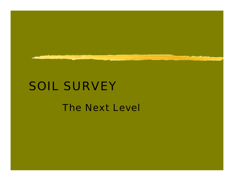

#### SOIL SURVEY

#### The Next Level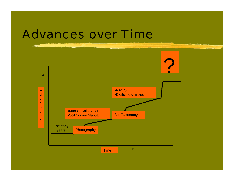#### Advances over Time

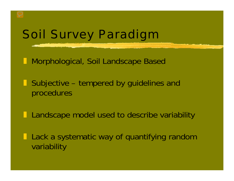# Soil Survey Paradigm

 $\Box$ Morphological, Soil Landscape Based

 $\blacksquare$  Subjective – tempered by guidelines and procedures

 $\blacksquare$ Landscape model used to describe variability

 $\blacksquare$  Lack a systematic way of quantifying random variability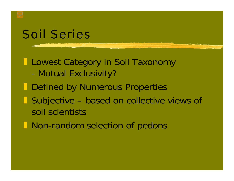# Soil Series

#### **Lategory in Soil Taxonomy** -Mutual Exclusivity?

- **Defined by Numerous Properties**
- $\blacksquare$  Subjective – based on collective views of soil scientists
- **Non-random selection of pedons**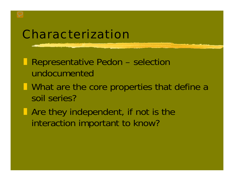# Characterization

- $\blacksquare$  Representative Pedon – selection undocumented
- **I** What are the core properties that define a soil series?
- **The Are they independent, if not is the** interaction important to know?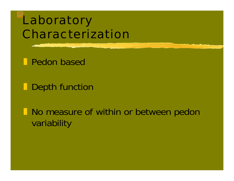# Laboratory Characterization

**Pedon based** 

**Depth function** 

 $\blacksquare$  No measure of within or between pedon variability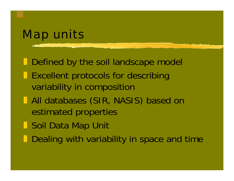# Map units

**Defined by the soil landscape model** 

- Excellent protocols for describing variability in composition
- **T** All databases (SIR, NASIS) based on estimated properties
- ] Soil Data Map Unit
- $\blacksquare$ Dealing with variability in space and time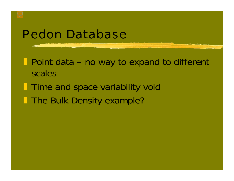## Pedon Database

**Point data – no way to expand to different** scales

**Time and space variability void The Bulk Density example?**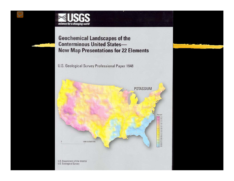

**Geochemical Landscapes of the Conterminous United States-New Map Presentations for 22 Elements** 

U.S. Geological Survey Professional Paper 1648

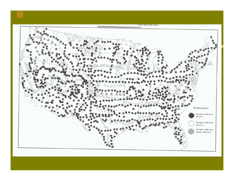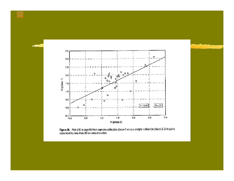

Figure 26. Plot of K in regulith from sample-collection phase 1 versus sample-collection phase 2. Only pairs<br>separated by less than 25 km were included.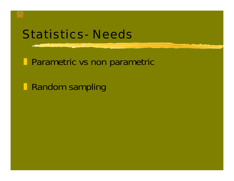# Statistics- Needs

**Parametric vs non parametric** 

**Random sampling**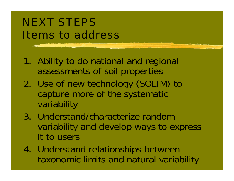# NEXT STEPS Items to address

- 1. Ability to do national and regional assessments of soil properties
- 2. Use of new technology (SOLIM) to capture more of the systematic variability
- 3. Understand/characterize random variability and develop ways to express it to users
- 4. Understand relationships between taxonomic limits and natural variability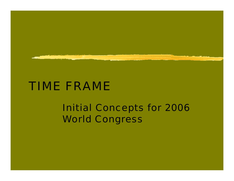

#### TIME FRAME

#### Initial Concepts for 2006 World Congress